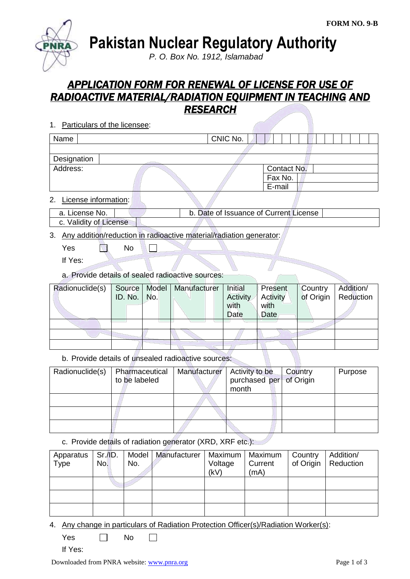

**Pakistan Nuclear Regulatory Authority**

*P. O. Box No. 1912, Islamabad*

## *APPLICATION FORM FOR RENEWAL OF LICENSE FOR USE OF RADIOACTIVE MATERIAL/RADIATION EQUIPMENT IN TEACHING AND RESEARCH*

| 1. Particulars of the licensee:                                                           |                                        |
|-------------------------------------------------------------------------------------------|----------------------------------------|
| Name                                                                                      | CNIC No.                               |
|                                                                                           |                                        |
| Designation                                                                               |                                        |
| Address:                                                                                  | Contact No.                            |
|                                                                                           | Fax No.                                |
|                                                                                           | E-mail                                 |
| License information:<br>2.                                                                |                                        |
| a. License No.                                                                            | b. Date of Issuance of Current License |
| c. Validity of License                                                                    |                                        |
| 0. A un constativo de la cationalista de la cation de cataluni d'un dioxico concernatore. |                                        |

3. Any addition/reduction in radioactive material/radiation generator:

 $\Box$ 

- Yes No
- If Yes:
- a. Provide details of sealed radioactive sources:

| Radionuclide(s) | Source   Model  <br><b>ID.</b> No.   No. | Manufacturer | <b>Initial</b><br>Activity<br>with<br>Date | Present<br>Activity<br>with<br>Date | Country<br>of Origin | Addition/<br>Reduction |
|-----------------|------------------------------------------|--------------|--------------------------------------------|-------------------------------------|----------------------|------------------------|
|                 |                                          |              |                                            |                                     |                      |                        |
|                 |                                          |              |                                            |                                     |                      |                        |
|                 |                                          |              |                                            |                                     |                      |                        |

b. Provide details of unsealed radioactive sources:

| Radionuclide(s) | Pharmaceutical<br>to be labeled | Manufacturer | Activity to be<br>purchased per of Origin | Country | Purpose |
|-----------------|---------------------------------|--------------|-------------------------------------------|---------|---------|
|                 |                                 |              | month                                     |         |         |
|                 |                                 |              |                                           |         |         |
|                 |                                 |              |                                           |         |         |
|                 |                                 |              |                                           |         |         |

c. Provide details of radiation generator (XRD, XRF etc.):

| Apparatus<br>Type | Sr.I.D.<br>No. | No. | Model   Manufacturer | Maximum<br>Voltage<br>(kV) | Maximum<br>Current<br>(mA) | Country | Addition/<br>of Origin   Reduction |
|-------------------|----------------|-----|----------------------|----------------------------|----------------------------|---------|------------------------------------|
|                   |                |     |                      |                            |                            |         |                                    |
|                   |                |     |                      |                            |                            |         |                                    |
|                   |                |     |                      |                            |                            |         |                                    |

4. Any change in particulars of Radiation Protection Officer(s)/Radiation Worker(s):

| Yes |  | No |  |
|-----|--|----|--|
|-----|--|----|--|

If Yes: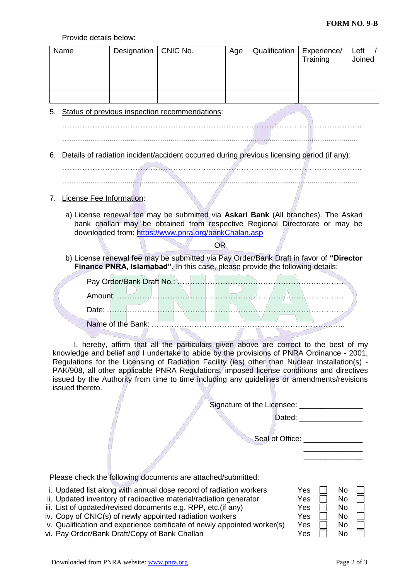Provide details below:

| Name                            | Designation                                                                                                                                                                                                                                                                                                                                                                                                                                                                    | CNIC No. | Age       | Qualification                                | Experience/<br>Training                                                     | Left<br>Joined |
|---------------------------------|--------------------------------------------------------------------------------------------------------------------------------------------------------------------------------------------------------------------------------------------------------------------------------------------------------------------------------------------------------------------------------------------------------------------------------------------------------------------------------|----------|-----------|----------------------------------------------|-----------------------------------------------------------------------------|----------------|
|                                 |                                                                                                                                                                                                                                                                                                                                                                                                                                                                                |          |           |                                              |                                                                             |                |
| 5.                              | Status of previous inspection recommendations:                                                                                                                                                                                                                                                                                                                                                                                                                                 |          |           |                                              |                                                                             |                |
| 6.                              | Details of radiation incident/accident occurred during previous licensing period (if any):                                                                                                                                                                                                                                                                                                                                                                                     |          |           |                                              |                                                                             |                |
|                                 |                                                                                                                                                                                                                                                                                                                                                                                                                                                                                |          |           |                                              |                                                                             |                |
| 7.                              | License Fee Information:                                                                                                                                                                                                                                                                                                                                                                                                                                                       |          |           |                                              |                                                                             |                |
|                                 | a) License renewal fee may be submitted via Askari Bank (All branches). The Askari<br>bank challan may be obtained from respective Regional Directorate or may be<br>downloaded from: https://www.pnra.org/bankChalan.asp                                                                                                                                                                                                                                                      |          |           |                                              |                                                                             |                |
|                                 | b) License renewal fee may be submitted via Pay Order/Bank Draft in favor of "Director                                                                                                                                                                                                                                                                                                                                                                                         |          | <b>OR</b> |                                              |                                                                             |                |
|                                 | Finance PNRA, Islamabad". In this case, please provide the following details:                                                                                                                                                                                                                                                                                                                                                                                                  |          |           |                                              |                                                                             |                |
|                                 |                                                                                                                                                                                                                                                                                                                                                                                                                                                                                |          |           |                                              |                                                                             |                |
|                                 |                                                                                                                                                                                                                                                                                                                                                                                                                                                                                |          |           |                                              |                                                                             |                |
|                                 |                                                                                                                                                                                                                                                                                                                                                                                                                                                                                |          |           |                                              |                                                                             |                |
|                                 |                                                                                                                                                                                                                                                                                                                                                                                                                                                                                |          |           |                                              |                                                                             |                |
| issued thereto.                 | I, hereby, affirm that all the particulars given above are correct to the best of my<br>knowledge and belief and I undertake to abide by the provisions of PNRA Ordinance - 2001,<br>Regulations for the Licensing of Radiation Facility (ies) other than Nuclear Installation(s) -<br>PAK/908, all other applicable PNRA Regulations, imposed license conditions and directives<br>issued by the Authority from time to time including any guidelines or amendments/revisions |          |           |                                              |                                                                             |                |
|                                 |                                                                                                                                                                                                                                                                                                                                                                                                                                                                                |          |           | Signature of the Licensee: _________________ |                                                                             |                |
|                                 |                                                                                                                                                                                                                                                                                                                                                                                                                                                                                |          |           |                                              | Dated: _________________                                                    |                |
| Seal of Office: _______________ |                                                                                                                                                                                                                                                                                                                                                                                                                                                                                |          |           |                                              |                                                                             |                |
|                                 |                                                                                                                                                                                                                                                                                                                                                                                                                                                                                |          |           |                                              |                                                                             |                |
|                                 | Please check the following documents are attached/submitted:                                                                                                                                                                                                                                                                                                                                                                                                                   |          |           |                                              |                                                                             |                |
|                                 | i. Updated list along with annual dose record of radiation workers<br>ii. Updated inventory of radioactive material/radiation generator<br>iii. List of updated/revised documents e.g. RPP, etc.(if any)<br>iv. Copy of CNIC(s) of newly appointed radiation workers<br>v. Qualification and experience certificate of newly appointed worker(s)<br>vi. Pay Order/Bank Draft/Copy of Bank Challan                                                                              |          |           |                                              | Yes<br>No.<br>Yes<br>No<br>Yes<br>No<br>Yes<br>No<br>Yes<br>No<br>Yes<br>No |                |